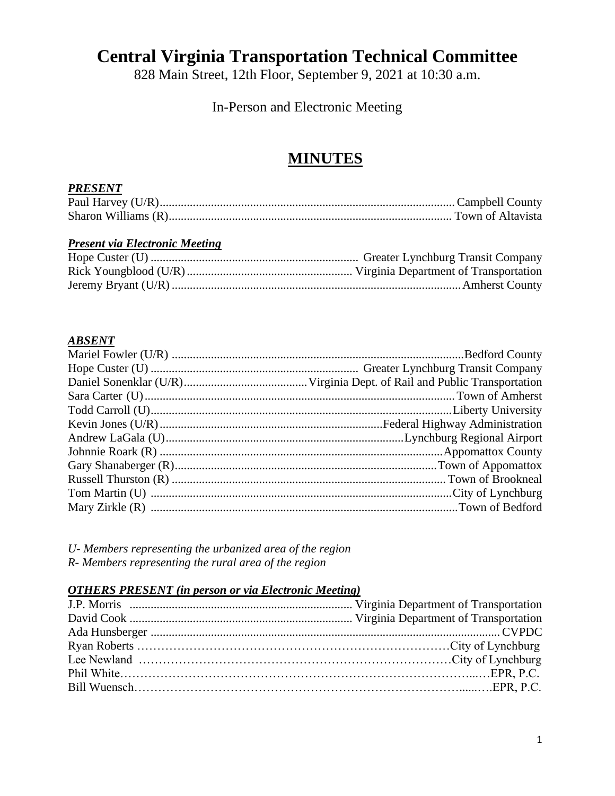# **Central Virginia Transportation Technical Committee**

828 Main Street, 12th Floor, September 9, 2021 at 10:30 a.m.

# In-Person and Electronic Meeting

# **MINUTES**

#### *PRESENT*

## *Present via Electronic Meeting*

#### *ABSENT*

*U- Members representing the urbanized area of the region R- Members representing the rural area of the region*

## *OTHERS PRESENT (in person or via Electronic Meeting)*